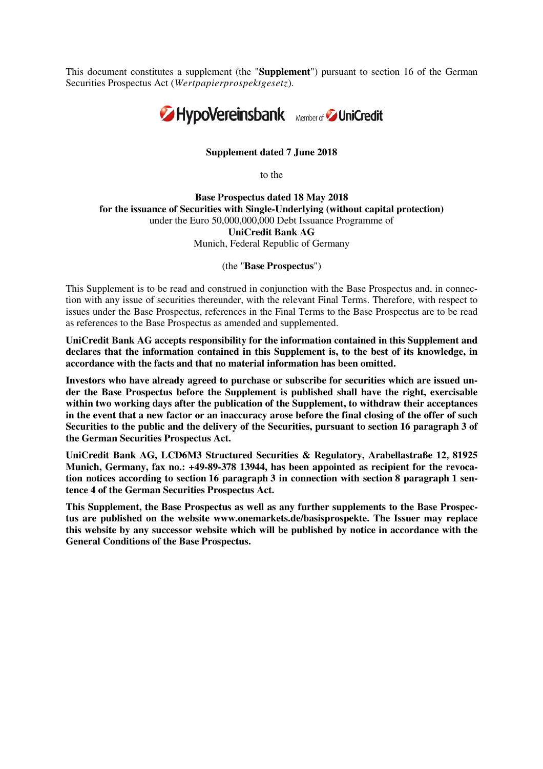This document constitutes a supplement (the "**Supplement**") pursuant to section 16 of the German Securities Prospectus Act (*Wertpapierprospektgesetz*)*.* 



## **Supplement dated 7 June 2018**

to the

**Base Prospectus dated 18 May 2018 for the issuance of Securities with Single-Underlying (without capital protection)** under the Euro 50,000,000,000 Debt Issuance Programme of **UniCredit Bank AG** Munich, Federal Republic of Germany

(the "**Base Prospectus**")

This Supplement is to be read and construed in conjunction with the Base Prospectus and, in connection with any issue of securities thereunder, with the relevant Final Terms. Therefore, with respect to issues under the Base Prospectus, references in the Final Terms to the Base Prospectus are to be read as references to the Base Prospectus as amended and supplemented.

**UniCredit Bank AG accepts responsibility for the information contained in this Supplement and declares that the information contained in this Supplement is, to the best of its knowledge, in accordance with the facts and that no material information has been omitted.** 

**Investors who have already agreed to purchase or subscribe for securities which are issued under the Base Prospectus before the Supplement is published shall have the right, exercisable within two working days after the publication of the Supplement, to withdraw their acceptances in the event that a new factor or an inaccuracy arose before the final closing of the offer of such Securities to the public and the delivery of the Securities, pursuant to section 16 paragraph 3 of the German Securities Prospectus Act.** 

**UniCredit Bank AG, LCD6M3 Structured Securities & Regulatory, Arabellastraße 12, 81925 Munich, Germany, fax no.: +49-89-378 13944, has been appointed as recipient for the revocation notices according to section 16 paragraph 3 in connection with section 8 paragraph 1 sentence 4 of the German Securities Prospectus Act.** 

**This Supplement, the Base Prospectus as well as any further supplements to the Base Prospectus are published on the website www.onemarkets.de/basisprospekte. The Issuer may replace this website by any successor website which will be published by notice in accordance with the General Conditions of the Base Prospectus.**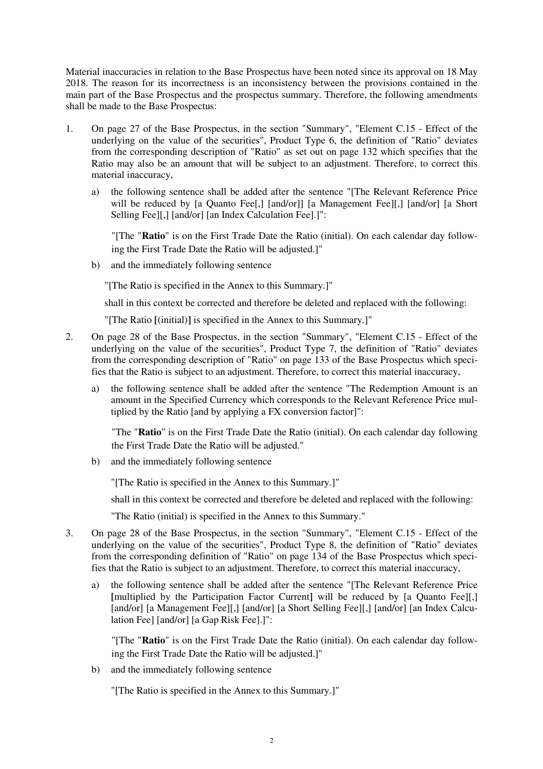Material inaccuracies in relation to the Base Prospectus have been noted since its approval on 18 May 2018. The reason for its incorrectness is an inconsistency between the provisions contained in the main part of the Base Prospectus and the prospectus summary. Therefore, the following amendments shall be made to the Base Prospectus:

- 1. On page 27 of the Base Prospectus, in the section "Summary", "Element C.15 Effect of the underlying on the value of the securities", Product Type 6, the definition of "Ratio" deviates from the corresponding description of "Ratio" as set out on page 132 which specifies that the Ratio may also be an amount that will be subject to an adjustment. Therefore, to correct this material inaccuracy,
	- a) the following sentence shall be added after the sentence "[The Relevant Reference Price will be reduced by [a Quanto Fee[,] [and/or]] [a Management Fee][,] [and/or] [a Short Selling Fee][,] [and/or] [an Index Calculation Fee].]":

"[The "**Ratio**" is on the First Trade Date the Ratio (initial). On each calendar day following the First Trade Date the Ratio will be adjusted.]"

b) and the immediately following sentence

"[The Ratio is specified in the Annex to this Summary.]"

shall in this context be corrected and therefore be deleted and replaced with the following:

"[The Ratio **[**(initial)**]** is specified in the Annex to this Summary.]"

- 2. On page 28 of the Base Prospectus, in the section "Summary", "Element C.15 Effect of the underlying on the value of the securities", Product Type 7, the definition of "Ratio" deviates from the corresponding description of "Ratio" on page 133 of the Base Prospectus which specifies that the Ratio is subject to an adjustment. Therefore, to correct this material inaccuracy,
	- a) the following sentence shall be added after the sentence "The Redemption Amount is an amount in the Specified Currency which corresponds to the Relevant Reference Price multiplied by the Ratio [and by applying a FX conversion factor]":

"The "**Ratio**" is on the First Trade Date the Ratio (initial). On each calendar day following the First Trade Date the Ratio will be adjusted."

b) and the immediately following sentence

"[The Ratio is specified in the Annex to this Summary.]"

shall in this context be corrected and therefore be deleted and replaced with the following:

"The Ratio (initial) is specified in the Annex to this Summary."

- 3. On page 28 of the Base Prospectus, in the section "Summary", "Element C.15 Effect of the underlying on the value of the securities", Product Type 8, the definition of "Ratio" deviates from the corresponding definition of "Ratio" on page 134 of the Base Prospectus which specifies that the Ratio is subject to an adjustment. Therefore, to correct this material inaccuracy,
	- a) the following sentence shall be added after the sentence "[The Relevant Reference Price **[**multiplied by the Participation Factor Current**]** will be reduced by [a Quanto Fee][,] [and/or] [a Management Fee][,] [and/or] [a Short Selling Fee][,] [and/or] [an Index Calculation Fee] [and/or] [a Gap Risk Fee].]":

"[The "**Ratio**" is on the First Trade Date the Ratio (initial). On each calendar day following the First Trade Date the Ratio will be adjusted.]"

b) and the immediately following sentence

"[The Ratio is specified in the Annex to this Summary.]"